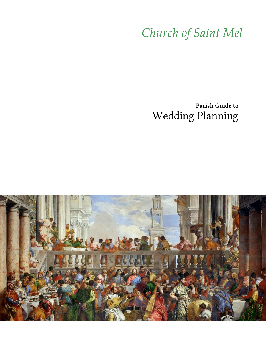# Church of Saint Mel

Parish Guide to Wedding Planning

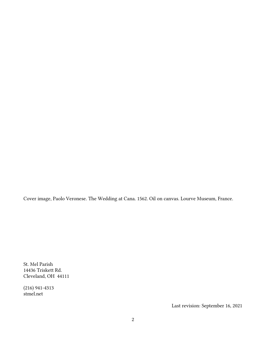Cover image, Paolo Veronese. The Wedding at Cana. 1562. Oil on canvas. Lourve Museum, France.

St. Mel Parish 14436 Triskett Rd. Cleveland, OH 44111

(216) 941-4313 stmel.net

Last revision: September 16, 2021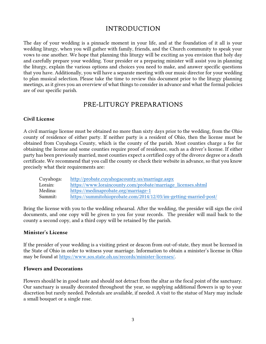# INTRODUCTION

The day of your wedding is a pinnacle moment in your life, and at the foundation of it all is your wedding liturgy, when you will gather with family, friends, and the Church community to speak your vows to one another. We hope that planning this liturgy will be exciting as you envision that holy day and carefully prepare your wedding. Your presider or a preparing minister will assist you in planning the liturgy, explain the various options and choices you need to make, and answer specific questions that you have. Additionally, you will have a separate meeting with our music director for your wedding to plan musical selection. Please take the time to review this document prior to the liturgy planning meetings, as it gives you an overview of what things to consider in advance and what the formal policies are of our specific parish.

# PRE-LITURGY PREPARATIONS

## **Civil License**

A civil marriage license must be obtained no more than sixty days prior to the wedding, from the Ohio county of residence of either party. If neither party is a resident of Ohio, then the license must be obtained from Cuyahoga County, which is the county of the parish. Most counties charge a fee for obtaining the license and some counties require proof of residence, such as a driver's license. If either party has been previously married, most counties expect a certified copy of the divorce degree or a death certificate. We recommend that you call the county or check their website in advance, so that you know precisely what their requirements are:

| Cuyahoga: | http://probate.cuyahogacounty.us/marriage.aspx                    |
|-----------|-------------------------------------------------------------------|
| Lorain:   | https://www.loraincounty.com/probate/marriage licenses.shtml      |
| Medina:   | https://medinaprobate.org/marriage-1                              |
| Summit:   | https://summitohioprobate.com/2014/12/03/im-getting-married-post/ |

Bring the license with you to the wedding rehearsal. After the wedding, the presider will sign the civil documents, and one copy will be given to you for your records. The presider will mail back to the county a second copy, and a third copy will be retained by the parish.

## **Minister's License**

If the presider of your wedding is a visiting priest or deacon from out-of-state, they must be licensed in the State of Ohio in order to witness your marriage. Information to obtain a minister's license in Ohio may be found at [https://www.sos.state.oh.us/records/minister-licenses/.](https://www.sos.state.oh.us/records/minister-licenses/)

## **Flowers and Decorations**

Flowers should be in good taste and should not detract from the altar as the focal point of the sanctuary. Our sanctuary is usually decorated throughout the year, so supplying additional flowers is up to your discretion but rarely needed. Pedestals are available, if needed. A visit to the statue of Mary may include a small bouquet or a single rose.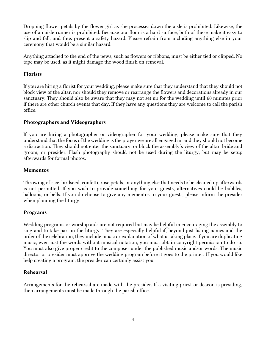Dropping flower petals by the flower girl as she processes down the aisle is prohibited. Likewise, the use of an aisle runner is prohibited. Because our floor is a hard surface, both of these make it easy to slip and fall, and thus present a safety hazard. Please refrain from including anything else in your ceremony that would be a similar hazard.

Anything attached to the end of the pews, such as flowers or ribbons, must be either tied or clipped. No tape may be used, as it might damage the wood finish on removal.

## **Florists**

If you are hiring a florist for your wedding, please make sure that they understand that they should not block view of the altar, nor should they remove or rearrange the flowers and decorations already in our sanctuary. They should also be aware that they may not set up for the wedding until 60 minutes prior if there are other church events that day. If they have any questions they are welcome to call the parish office.

## **Photographers and Videographers**

If you are hiring a photographer or videographer for your wedding, please make sure that they understand that the focus of the wedding is the prayer we are all engaged in, and they should not become a distraction. They should not enter the sanctuary, or block the assembly's view of the altar, bride and groom, or presider. Flash photography should not be used during the liturgy, but may be setup afterwards for formal photos.

## **Mementos**

Throwing of rice, birdseed, confetti, rose petals, or anything else that needs to be cleaned up afterwards is not permitted. If you wish to provide something for your guests, alternatives could be bubbles, balloons, or bells. If you do choose to give any mementos to your guests, please inform the presider when planning the liturgy.

## **Programs**

Wedding programs or worship aids are not required but may be helpful in encouraging the assembly to sing and to take part in the liturgy. They are especially helpful if, beyond just listing names and the order of the celebration, they include music or explanation of what is taking place. If you are duplicating music, even just the words without musical notation, you must obtain copyright permission to do so. You must also give proper credit to the composer under the published music and/or words. The music director or presider must approve the wedding program before it goes to the printer. If you would like help creating a program, the presider can certainly assist you.

## **Rehearsal**

Arrangements for the rehearsal are made with the presider. If a visiting priest or deacon is presiding, then arrangements must be made through the parish office.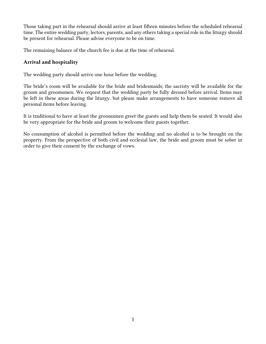Those taking part in the rehearsal should arrive at least fifteen minutes before the scheduled rehearsal time. The entire wedding party, lectors, parents, and any others taking a special role in the liturgy should be present for rehearsal. Please advise everyone to be on time.

The remaining balance of the church fee is due at the time of rehearsal.

## **Arrival and hospitality**

The wedding party should arrive one hour before the wedding.

The bride's room will be available for the bride and bridesmaids; the sacristy will be available for the groom and groomsmen. We request that the wedding party be fully dressed before arrival. Items may be left in these areas during the liturgy, but please make arrangements to have someone remove all personal items before leaving.

It is traditional to have at least the groomsmen greet the guests and help them be seated. It would also be very appropriate for the bride and groom to welcome their guests together.

No consumption of alcohol is permitted before the wedding and no alcohol is to be brought on the property. From the perspective of both civil and ecclesial law, the bride and groom must be sober in order to give their consent by the exchange of vows.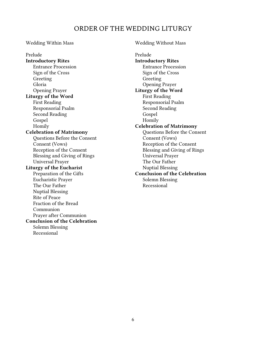## ORDER OF THE WEDDING LITURGY

Wedding Within Mass

Prelude Introductory Rites Entrance Procession Sign of the Cross Greeting Gloria Opening Prayer Liturgy of the Word First Reading Responsorial Psalm Second Reading Gospel Homily Celebration of Matrimony Questions Before the Consent Consent (Vows) Reception of the Consent Blessing and Giving of Rings Universal Prayer Liturgy of the Eucharist Preparation of the Gifts Eucharistic Prayer The Our Father Nuptial Blessing Rite of Peace Fraction of the Bread Communion Prayer after Communion Conclusion of the Celebration Solemn Blessing Recessional

Wedding Without Mass Prelude Introductory Rites Entrance Procession Sign of the Cross Greeting Opening Prayer Liturgy of the Word First Reading Responsorial Psalm Second Reading Gospel Homily Celebration of Matrimony Questions Before the Consent Consent (Vows) Reception of the Consent Blessing and Giving of Rings Universal Prayer The Our Father Nuptial Blessing Conclusion of the Celebration Solemn Blessing Recessional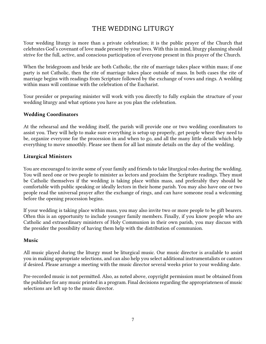# THE WEDDING LITURGY

Your wedding liturgy is more than a private celebration; it is the public prayer of the Church that celebrates God's covenant of love made present by your lives. With this in mind, liturgy planning should strive for the full, active, and conscious participation of everyone present in this prayer of the Church.

When the bridegroom and bride are both Catholic, the rite of marriage takes place within mass; if one party is not Catholic, then the rite of marriage takes place outside of mass. In both cases the rite of marriage begins with readings from Scripture followed by the exchange of vows and rings. A wedding within mass will continue with the celebration of the Eucharist.

Your presider or preparing minister will work with you directly to fully explain the structure of your wedding liturgy and what options you have as you plan the celebration.

## **Wedding Coordinators**

At the rehearsal and the wedding itself, the parish will provide one or two wedding coordinators to assist you. They will help to make sure everything is setup up properly, get people where they need to be, organize everyone for the procession in and when to go, and all the many little details which help everything to move smoothly. Please see them for all last minute details on the day of the wedding.

## **Liturgical Ministers**

You are encouraged to invite some of your family and friends to take liturgical roles during the wedding. You will need one or two people to minister as lectors and proclaim the Scripture readings. They must be Catholic themselves if the wedding is taking place within mass, and preferably they should be comfortable with public speaking or ideally lectors in their home parish. You may also have one or two people read the universal prayer after the exchange of rings, and can have someone read a welcoming before the opening procession begins.

If your wedding is taking place within mass, you may also invite two or more people to be gift bearers. Often this is an opportunity to include younger family members. Finally, if you know people who are Catholic and extraordinary ministers of Holy Communion in their own parish, you may discuss with the presider the possibility of having them help with the distribution of communion.

## **Music**

All music played during the liturgy must be liturgical music. Our music director is available to assist you in making appropriate selections, and can also help you select additional instrumentalists or cantors if desired. Please arrange a meeting with the music director several weeks prior to your wedding date.

Pre-recorded music is not permitted. Also, as noted above, copyright permission must be obtained from the publisher for any music printed in a program. Final decisions regarding the appropriateness of music selections are left up to the music director.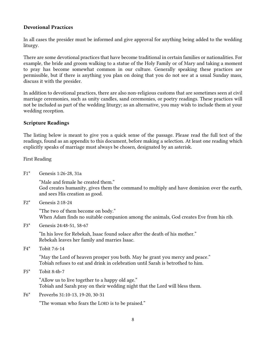## **Devotional Practices**

In all cases the presider must be informed and give approval for anything being added to the wedding liturgy.

There are some devotional practices that have become traditional in certain families or nationalities. For example, the bride and groom walking to a statue of the Holy Family or of Mary and taking a moment to pray has become somewhat common in our culture. Generally speaking these practices are permissible, but if there is anything you plan on doing that you do not see at a usual Sunday mass, discuss it with the presider.

In addition to devotional practices, there are also non-religious customs that are sometimes seen at civil marriage ceremonies, such as unity candles, sand ceremonies, or poetry readings. These practices will not be included as part of the wedding liturgy; as an alternative, you may wish to include them at your wedding reception.

## **Scripture Readings**

The listing below is meant to give you a quick sense of the passage. Please read the full text of the readings, found as an appendix to this document, before making a selection. At least one reading which explicitly speaks of marriage must always be chosen, designated by an asterisk.

First Reading

F1\* Genesis 1:26-28, 31a

"Male and female he created them." God creates humanity, gives them the command to multiply and have dominion over the earth, and sees His creation as good.

F2\* Genesis 2:18-24

"The two of them become on body." When Adam finds no suitable companion among the animals, God creates Eve from his rib.

F3\* Genesis 24:48-51, 58-67

"In his love for Rebekah, Isaac found solace after the death of his mother." Rebekah leaves her family and marries Isaac.

F4\* Tobit 7:6-14

"May the Lord of heaven prosper you both. May he grant you mercy and peace." Tobiah refuses to eat and drink in celebration until Sarah is betrothed to him.

F5\* Tobit 8:4b-7

"Allow us to live together to a happy old age." Tobiah and Sarah pray on their wedding night that the Lord will bless them.

F6\* Proverbs 31:10-13, 19-20, 30-31

"The woman who fears the LORD is to be praised."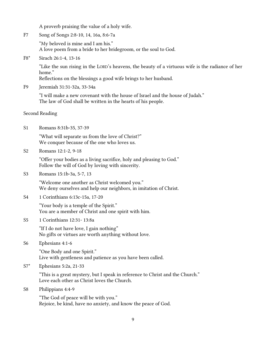A proverb praising the value of a holy wife.

F7 Song of Songs 2:8-10, 14, 16a, 8:6-7a

"My beloved is mine and I am his." A love poem from a bride to her bridegroom, or the soul to God.

F8\* Sirach 26:1-4, 13-16

"Like the sun rising in the LORD's heavens, the beauty of a virtuous wife is the radiance of her home."

Reflections on the blessings a good wife brings to her husband.

F9 Jeremiah 31:31-32a, 33-34a

"I will make a new covenant with the house of Israel and the house of Judah." The law of God shall be written in the hearts of his people.

#### Second Reading

S1 Romans 8:31b-35, 37-39

"What will separate us from the love of Christ?" We conquer because of the one who loves us.

S2 Romans 12:1-2, 9-18

"Offer your bodies as a living sacrifice, holy and pleasing to God." Follow the will of God by loving with sincerity.

S3 Romans 15:1b-3a, 5-7, 13

"Welcome one another as Christ welcomed you." We deny ourselves and help our neighbors, in imitation of Christ.

S4 1 Corinthians 6:13c-15a, 17-20

"Your body is a temple of the Spirit." You are a member of Christ and one spirit with him.

S5 1 Corinthians 12:31- 13:8a

"If I do not have love, I gain nothing" No gifts or virtues are worth anything without love.

S6 Ephesians 4:1-6

"One Body and one Spirit." Live with gentleness and patience as you have been called.

S7\* Ephesians 5:2a, 21-33

"This is a great mystery, but I speak in reference to Christ and the Church." Love each other as Christ loves the Church.

S8 Philippians 4:4-9

"The God of peace will be with you." Rejoice, be kind, have no anxiety, and know the peace of God.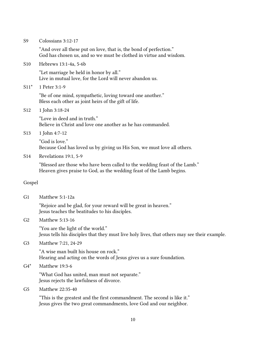"And over all these put on love, that is, the bond of perfection." God has chosen us, and so we must be clothed in virtue and wisdom.

#### S10 Hebrews 13:1-4a, 5-6b

"Let marriage be held in honor by all." Live in mutual love, for the Lord will never abandon us.

## S11\* 1 Peter 3:1-9

"Be of one mind, sympathetic, loving toward one another." Bless each other as joint heirs of the gift of life.

#### S12 1 John 3:18-24

"Love in deed and in truth." Believe in Christ and love one another as he has commanded.

S13 1 John 4:7-12

"God is love." Because God has loved us by giving us His Son, we must love all others.

S14 Revelations 19:1, 5-9

"Blessed are those who have been called to the wedding feast of the Lamb." Heaven gives praise to God, as the wedding feast of the Lamb begins.

#### Gospel

G1 Matthew 5:1-12a

"Rejoice and be glad, for your reward will be great in heaven." Jesus teaches the beatitudes to his disciples.

G2 Matthew 5:13-16

"You are the light of the world." Jesus tells his disciples that they must live holy lives, that others may see their example.

G3 Matthew 7:21, 24-29

"A wise man built his house on rock." Hearing and acting on the words of Jesus gives us a sure foundation.

G4\* Matthew 19:3-6

"What God has united, man must not separate." Jesus rejects the lawfulness of divorce.

G5 Matthew 22:35-40

"This is the greatest and the first commandment. The second is like it." Jesus gives the two great commandments, love God and our neighbor.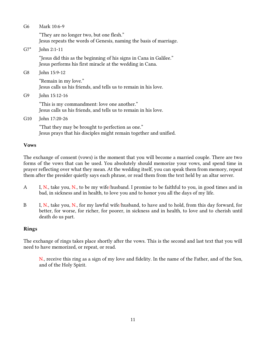| G6     | Mark 10:6-9                                                                                                                    |
|--------|--------------------------------------------------------------------------------------------------------------------------------|
|        | "They are no longer two, but one flesh."<br>Jesus repeats the words of Genesis, naming the basis of marriage.                  |
| $G7^*$ | John 2:1-11                                                                                                                    |
|        | "Jesus did this as the beginning of his signs in Cana in Galilee."<br>Jesus performs his first miracle at the wedding in Cana. |
| G8     | John 15:9-12                                                                                                                   |
|        | "Remain in my love."<br>Jesus calls us his friends, and tells us to remain in his love.                                        |
| G9     | John 15:12-16                                                                                                                  |
|        | "This is my commandment: love one another."<br>Jesus calls us his friends, and tells us to remain in his love.                 |
| G10    | John 17:20-26                                                                                                                  |
|        | "That they may be brought to perfection as one."<br>Jesus prays that his disciples might remain together and unified.          |

#### **Vows**

The exchange of consent (vows) is the moment that you will become a married couple. There are two forms of the vows that can be used. You absolutely should memorize your vows, and spend time in prayer reflecting over what they mean. At the wedding itself, you can speak them from memory, repeat them after the presider quietly says each phrase, or read them from the text held by an altar server.

- A I, N., take you, N., to be my wife/husband. I promise to be faithful to you, in good times and in bad, in sickness and in health, to love you and to honor you all the days of my life.
- B I, N., take you, N., for my lawful wife/husband, to have and to hold, from this day forward, for better, for worse, for richer, for poorer, in sickness and in health, to love and to cherish until death do us part.

#### **Rings**

The exchange of rings takes place shortly after the vows. This is the second and last text that you will need to have memorized, or repeat, or read.

N., receive this ring as a sign of my love and fidelity. In the name of the Father, and of the Son, and of the Holy Spirit.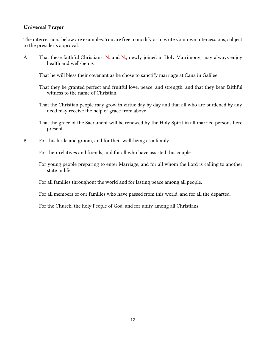## **Universal Prayer**

The intercessions below are examples. You are free to modify or to write your own intercessions, subject to the presider's approval.

A That these faithful Christians, N. and N., newly joined in Holy Matrimony, may always enjoy health and well-being.

That he will bless their covenant as he chose to sanctify marriage at Cana in Galilee.

That they be granted perfect and fruitful love, peace, and strength, and that they bear faithful witness to the name of Christian.

That the Christian people may grow in virtue day by day and that all who are burdened by any need may receive the help of grace from above.

That the grace of the Sacrament will be renewed by the Holy Spirit in all married persons here present.

B For this bride and groom, and for their well-being as a family.

For their relatives and friends, and for all who have assisted this couple.

For young people preparing to enter Marriage, and for all whom the Lord is calling to another state in life.

For all families throughout the world and for lasting peace among all people.

For all members of our families who have passed from this world, and for all the departed.

For the Church, the holy People of God, and for unity among all Christians.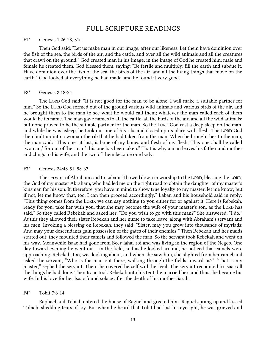## FULL SCRIPTURE READINGS

#### F1\* Genesis 1:26-28, 31a

Then God said: "Let us make man in our image, after our likeness. Let them have dominion over the fish of the sea, the birds of the air, and the cattle, and over all the wild animals and all the creatures that crawl on the ground." God created man in his image; in the image of God he created him; male and female he created them. God blessed them, saying: "Be fertile and multiply; fill the earth and subdue it. Have dominion over the fish of the sea, the birds of the air, and all the living things that move on the earth." God looked at everything he had made, and he found it very good.

#### F2\* Genesis 2:18-24

The LORD God said: "It is not good for the man to be alone. I will make a suitable partner for him." So the LORD God formed out of the ground various wild animals and various birds of the air, and he brought them to the man to see what he would call them; whatever the man called each of them would be its name. The man gave names to all the cattle, all the birds of the air, and all the wild animals; but none proved to be the suitable partner for the man. So the LORD God cast a deep sleep on the man, and while he was asleep, he took out one of his ribs and closed up its place with flesh. The LORD God then built up into a woman the rib that he had taken from the man. When he brought her to the man, the man said: "This one, at last, is bone of my bones and flesh of my flesh; This one shall be called 'woman,' for out of 'her man' this one has been taken." That is why a man leaves his father and mother and clings to his wife, and the two of them become one body.

#### F3\* Genesis 24:48-51, 58-67

The servant of Abraham said to Laban: "I bowed down in worship to the LORD, blessing the LORD, the God of my master Abraham, who had led me on the right road to obtain the daughter of my master's kinsman for his son. If, therefore, you have in mind to show true loyalty to my master, let me know; but if not, let me know that, too. I can then proceed accordingly." Laban and his household said in reply: "This thing comes from the LORD; we can say nothing to you either for or against it. Here is Rebekah, ready for you; take her with you, that she may become the wife of your master's son, as the LORD has said." So they called Rebekah and asked her, "Do you wish to go with this man?" She answered, "I do." At this they allowed their sister Rebekah and her nurse to take leave, along with Abraham's servant and his men. Invoking a blessing on Rebekah, they said: "Sister, may you grow into thousands of myriads; And may your descendants gain possession of the gates of their enemies!" Then Rebekah and her maids started out; they mounted their camels and followed the man. So the servant took Rebekah and went on his way. Meanwhile Isaac had gone from Beer-lahai-roi and was living in the region of the Negeb. One day toward evening he went out... in the field, and as he looked around, he noticed that camels were approaching. Rebekah, too, was looking about, and when she saw him, she alighted from her camel and asked the servant, "Who is the man out there, walking through the fields toward us?" "That is my master," replied the servant. Then she covered herself with her veil. The servant recounted to Isaac all the things he had done. Then Isaac took Rebekah into his tent; he married her, and thus she became his wife. In his love for her Isaac found solace after the death of his mother Sarah.

#### F4\* Tobit 7:6-14

Raphael and Tobiah entered the house of Raguel and greeted him. Raguel sprang up and kissed Tobiah, shedding tears of joy. But when he heard that Tobit had lost his eyesight, he was grieved and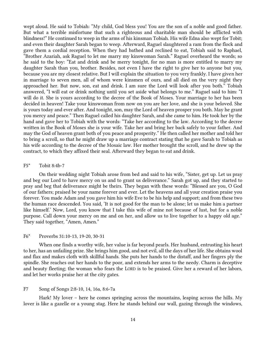wept aloud. He said to Tobiah: "My child, God bless you! You are the son of a noble and good father. But what a terrible misfortune that such a righteous and charitable man should be afflicted with blindness!" He continued to weep in the arms of his kinsman Tobiah. His wife Edna also wept for Tobit; and even their daughter Sarah began to weep. Afterward, Raguel slaughtered a ram from the flock and gave them a cordial reception. When they had bathed and reclined to eat, Tobiah said to Raphael, "Brother Azariah, ask Raguel to let me marry my kinswoman Sarah." Raguel overheard the words; so he said to the boy: "Eat and drink and be merry tonight, for no man is more entitled to marry my daughter Sarah than you, brother. Besides, not even I have the right to give her to anyone but you, because you are my closest relative. But I will explain the situation to you very frankly. I have given her in marriage to seven men, all of whom were kinsmen of ours, and all died on the very night they approached her. But now, son, eat and drink. I am sure the Lord will look after you both." Tobiah answered, "I will eat or drink nothing until you set aside what belongs to me." Raguel said to him: "I will do it. She is yours according to the decree of the Book of Moses. Your marriage to her has been decided in heaven! Take your kinswoman from now on you are her love, and she is your beloved. She is yours today and ever after. And tonight, son, may the Lord of heaven prosper you both. May he grant you mercy and peace." Then Raguel called his daughter Sarah, and she came to him. He took her by the hand and gave her to Tobiah with the words: "Take her according to the law. According to the decree written in the Book of Moses she is your wife. Take her and bring her back safely to your father. And may the God of heaven grant both of you peace and prosperity." He then called her mother and told her to bring a scroll, so that he might draw up a marriage contract stating that he gave Sarah to Tobiah as his wife according to the decree of the Mosaic law. Her mother brought the scroll, and he drew up the contract, to which they affixed their seal. Afterward they began to eat and drink.

#### F5\* Tobit 8:4b-7

On their wedding night Tobiah arose from bed and said to his wife, "Sister, get up. Let us pray and beg our Lord to have mercy on us and to grant us deliverance." Sarah got up, and they started to pray and beg that deliverance might be theirs. They began with these words: "Blessed are you, O God of our fathers; praised be your name forever and ever. Let the heavens and all your creation praise you forever. You made Adam and you gave him his wife Eve to be his help and support; and from these two the human race descended. You said, 'It is not good for the man to be alone; let us make him a partner like himself.' Now, Lord, you know that I take this wife of mine not because of lust, but for a noble purpose. Call down your mercy on me and on her, and allow us to live together to a happy old age." They said together, "Amen, Amen."

#### F6\* Proverbs 31:10-13, 19-20, 30-31

When one finds a worthy wife, her value is far beyond pearls. Her husband, entrusting his heart to her, has an unfailing prize. She brings him good, and not evil, all the days of her life. She obtains wool and flax and makes cloth with skillful hands. She puts her hands to the distaff, and her fingers ply the spindle. She reaches out her hands to the poor, and extends her arms to the needy. Charm is deceptive and beauty fleeting; the woman who fears the LORD is to be praised. Give her a reward of her labors, and let her works praise her at the city gates.

#### F7 Song of Songs 2:8-10, 14, 16a, 8:6-7a

Hark! My lover – here he comes springing across the mountains, leaping across the hills. My lover is like a gazelle or a young stag. Here he stands behind our wall, gazing through the windows,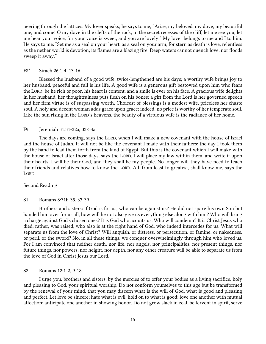peering through the lattices. My lover speaks; he says to me, "Arise, my beloved, my dove, my beautiful one, and come! O my dove in the clefts of the rock, in the secret recesses of the cliff, let me see you, let me hear your voice, for your voice is sweet, and you are lovely." My lover belongs to me and I to him. He says to me: "Set me as a seal on your heart, as a seal on your arm; for stern as death is love, relentless as the nether world is devotion; its flames are a blazing fire. Deep waters cannot quench love, nor floods sweep it away."

#### F8\* Sirach 26:1-4, 13-16

Blessed the husband of a good wife, twice-lengthened are his days; a worthy wife brings joy to her husband, peaceful and full is his life. A good wife is a generous gift bestowed upon him who fears the LORD; be he rich or poor, his heart is content, and a smile is ever on his face. A gracious wife delights in her husband, her thoughtfulness puts flesh on his bones; a gift from the Lord is her governed speech and her firm virtue is of surpassing worth. Choicest of blessings is a modest wife, priceless her chaste soul. A holy and decent woman adds grace upon grace; indeed, no price is worthy of her temperate soul. Like the sun rising in the LORD's heavens, the beauty of a virtuous wife is the radiance of her home.

#### F9 Jeremiah 31:31-32a, 33-34a

The days are coming, says the LORD, when I will make a new covenant with the house of Israel and the house of Judah. It will not be like the covenant I made with their fathers: the day I took them by the hand to lead them forth from the land of Egypt. But this is the covenant which I will make with the house of Israel after those days, says the LORD. I will place my law within them, and write it upon their hearts; I will be their God, and they shall be my people. No longer will they have need to teach their friends and relatives how to know the LORD. All, from least to greatest, shall know me, says the LORD.

#### Second Reading

#### S1 Romans 8:31b-35, 37-39

Brothers and sisters: If God is for us, who can be against us? He did not spare his own Son but handed him over for us all, how will he not also give us everything else along with him? Who will bring a charge against God's chosen ones? It is God who acquits us. Who will condemn? It is Christ Jesus who died, rather, was raised, who also is at the right hand of God, who indeed intercedes for us. What will separate us from the love of Christ? Will anguish, or distress, or persecution, or famine, or nakedness, or peril, or the sword? No, in all these things, we conquer overwhelmingly through him who loved us. For I am convinced that neither death, nor life, nor angels, nor principalities, nor present things, nor future things, nor powers, nor height, nor depth, nor any other creature will be able to separate us from the love of God in Christ Jesus our Lord.

#### S2 Romans 12:1-2, 9-18

I urge you, brothers and sisters, by the mercies of to offer your bodies as a living sacrifice, holy and pleasing to God, your spiritual worship. Do not conform yourselves to this age but be transformed by the renewal of your mind, that you may discern what is the will of God, what is good and pleasing and perfect. Let love be sincere; hate what is evil, hold on to what is good; love one another with mutual affection; anticipate one another in showing honor. Do not grow slack in zeal, be fervent in spirit, serve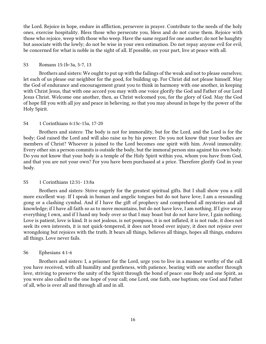the Lord. Rejoice in hope, endure in affliction, persevere in prayer. Contribute to the needs of the holy ones, exercise hospitality. Bless those who persecute you, bless and do not curse them. Rejoice with those who rejoice, weep with those who weep. Have the same regard for one another; do not be haughty but associate with the lowly; do not be wise in your own estimation. Do not repay anyone evil for evil; be concerned for what is noble in the sight of all. If possible, on your part, live at peace with all.

#### S3 Romans 15:1b-3a, 5-7, 13

Brothers and sisters: We ought to put up with the failings of the weak and not to please ourselves; let each of us please our neighbor for the good, for building up. For Christ did not please himself. May the God of endurance and encouragement grant you to think in harmony with one another, in keeping with Christ Jesus, that with one accord you may with one voice glorify the God and Father of our Lord Jesus Christ. Welcome one another, then, as Christ welcomed you, for the glory of God. May the God of hope fill you with all joy and peace in believing, so that you may abound in hope by the power of the Holy Spirit.

#### S4 1 Corinthians 6:13c-15a, 17-20

Brothers and sisters: The body is not for immorality, but for the Lord, and the Lord is for the body; God raised the Lord and will also raise us by his power. Do you not know that your bodies are members of Christ? Whoever is joined to the Lord becomes one spirit with him. Avoid immorality. Every other sin a person commits is outside the body, but the immoral person sins against his own body. Do you not know that your body is a temple of the Holy Spirit within you, whom you have from God, and that you are not your own? For you have been purchased at a price. Therefore glorify God in your body.

#### S5 1 Corinthians 12:31- 13:8a

Brothers and sisters: Strive eagerly for the greatest spiritual gifts. But I shall show you a still more excellent way. If I speak in human and angelic tongues but do not have love, I am a resounding gong or a clashing cymbal. And if I have the gift of prophecy and comprehend all mysteries and all knowledge; if I have all faith so as to move mountains, but do not have love, I am nothing. If I give away everything I own, and if I hand my body over so that I may boast but do not have love, I gain nothing. Love is patient, love is kind. It is not jealous, is not pompous, it is not inflated, it is not rude, it does not seek its own interests, it is not quick-tempered, it does not brood over injury, it does not rejoice over wrongdoing but rejoices with the truth. It bears all things, believes all things, hopes all things, endures all things. Love never fails.

## S6 Ephesians 4:1-6

Brothers and sisters: I, a prisoner for the Lord, urge you to live in a manner worthy of the call you have received, with all humility and gentleness, with patience, bearing with one another through love, striving to preserve the unity of the Spirit through the bond of peace: one Body and one Spirit, as you were also called to the one hope of your call; one Lord, one faith, one baptism; one God and Father of all, who is over all and through all and in all.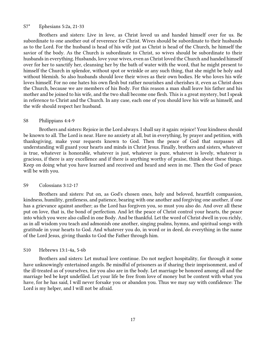#### S7\* Ephesians 5:2a, 21-33

Brothers and sisters: Live in love, as Christ loved us and handed himself over for us. Be subordinate to one another out of reverence for Christ. Wives should be subordinate to their husbands as to the Lord. For the husband is head of his wife just as Christ is head of the Church, he himself the savior of the body. As the Church is subordinate to Christ, so wives should be subordinate to their husbands in everything. Husbands, love your wives, even as Christ loved the Church and handed himself over for her to sanctify her, cleansing her by the bath of water with the word, that he might present to himself the Church in splendor, without spot or wrinkle or any such thing, that she might be holy and without blemish. So also husbands should love their wives as their own bodies. He who loves his wife loves himself. For no one hates his own flesh but rather nourishes and cherishes it, even as Christ does the Church, because we are members of his Body. For this reason a man shall leave his father and his mother and be joined to his wife, and the two shall become one flesh. This is a great mystery, but I speak in reference to Christ and the Church. In any case, each one of you should love his wife as himself, and the wife should respect her husband.

#### S8 Philippians 4:4-9

Brothers and sisters: Rejoice in the Lord always. I shall say it again: rejoice! Your kindness should be known to all. The Lord is near. Have no anxiety at all, but in everything, by prayer and petition, with thanksgiving, make your requests known to God. Then the peace of God that surpasses all understanding will guard your hearts and minds in Christ Jesus. Finally, brothers and sisters, whatever is true, whatever is honorable, whatever is just, whatever is pure, whatever is lovely, whatever is gracious, if there is any excellence and if there is anything worthy of praise, think about these things. Keep on doing what you have learned and received and heard and seen in me. Then the God of peace will be with you.

#### S9 Colossians 3:12-17

Brothers and sisters: Put on, as God's chosen ones, holy and beloved, heartfelt compassion, kindness, humility, gentleness, and patience, bearing with one another and forgiving one another, if one has a grievance against another; as the Lord has forgiven you, so must you also do. And over all these put on love, that is, the bond of perfection. And let the peace of Christ control your hearts, the peace into which you were also called in one Body. And be thankful. Let the word of Christ dwell in you richly, as in all wisdom you teach and admonish one another, singing psalms, hymns, and spiritual songs with gratitude in your hearts to God. And whatever you do, in word or in deed, do everything in the name of the Lord Jesus, giving thanks to God the Father through him.

#### S10 Hebrews 13:1-4a, 5-6b

Brothers and sisters: Let mutual love continue. Do not neglect hospitality, for through it some have unknowingly entertained angels. Be mindful of prisoners as if sharing their imprisonment, and of the ill-treated as of yourselves, for you also are in the body. Let marriage be honored among all and the marriage bed be kept undefiled. Let your life be free from love of money but be content with what you have, for he has said, I will never forsake you or abandon you. Thus we may say with confidence: The Lord is my helper, and I will not be afraid.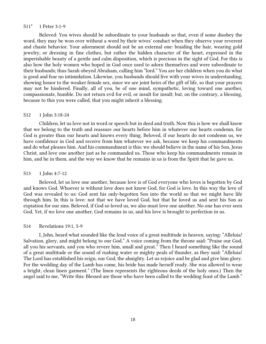#### S11\* 1 Peter 3:1-9

Beloved: You wives should be subordinate to your husbands so that, even if some disobey the word, they may be won over without a word by their wives' conduct when they observe your reverent and chaste behavior. Your adornment should not be an external one: braiding the hair, wearing gold jewelry, or dressing in fine clothes, but rather the hidden character of the heart, expressed in the imperishable beauty of a gentle and calm disposition, which is precious in the sight of God. For this is also how the holy women who hoped in God once used to adorn themselves and were subordinate to their husbands; thus Sarah obeyed Abraham, calling him "lord." You are her children when you do what is good and fear no intimidation. Likewise, you husbands should live with your wives in understanding, showing honor to the weaker female sex, since we are joint heirs of the gift of life, so that your prayers may not be hindered. Finally, all of you, be of one mind, sympathetic, loving toward one another, compassionate, humble. Do not return evil for evil, or insult for insult; but, on the contrary, a blessing, because to this you were called, that you might inherit a blessing.

#### S12 1 John 3:18-24

Children, let us love not in word or speech but in deed and truth. Now this is how we shall know that we belong to the truth and reassure our hearts before him in whatever our hearts condemn, for God is greater than our hearts and knows every thing. Beloved, if our hearts do not condemn us, we have confidence in God and receive from him whatever we ask, because we keep his commandments and do what pleases him. And his commandment is this: we should believe in the name of his Son, Jesus Christ, and love one another just as he commanded us. Those who keep his commandments remain in him, and he in them, and the way we know that he remains in us is from the Spirit that he gave us.

#### S13 1 John 4:7-12

Beloved, let us love one another, because love is of God everyone who loves is begotten by God and knows God. Whoever is without love does not know God, for God is love. In this way the love of God was revealed to us: God sent his only-begotten Son into the world so that we might have life through him. In this is love: not that we have loved God, but that he loved us and sent his Son as expiation for our sins. Beloved, if God so loved us, we also must love one another. No one has ever seen God. Yet, if we love one another, God remains in us, and his love is brought to perfection in us.

#### S14 Revelations 19:1, 5-9

I, John, heard what sounded like the loud voice of a great multitude in heaven, saying: "Alleluia! Salvation, glory, and might belong to our God." A voice coming from the throne said: "Praise our God, all you his servants, and you who revere him, small and great." Then I heard something like the sound of a great multitude or the sound of rushing water or mighty peals of thunder, as they said: "Alleluia! The Lord has established his reign, our God, the almighty. Let us rejoice and be glad and give him glory. For the wedding day of the Lamb has come, his bride has made herself ready. She was allowed to wear a bright, clean linen garment." (The linen represents the righteous deeds of the holy ones.) Then the angel said to me, "Write this: Blessed are those who have been called to the wedding feast of the Lamb."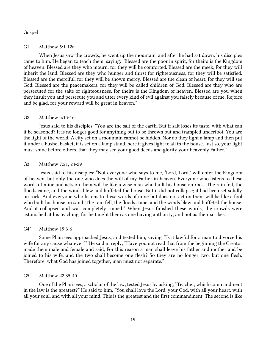#### Gospel

G1 Matthew 5:1-12a

When Jesus saw the crowds, he went up the mountain, and after he had sat down, his disciples came to him. He began to teach them, saying: "Blessed are the poor in spirit, for theirs is the Kingdom of heaven. Blessed are they who mourn, for they will be comforted. Blessed are the meek, for they will inherit the land. Blessed are they who hunger and thirst for righteousness, for they will be satisfied. Blessed are the merciful, for they will be shown mercy. Blessed are the clean of heart, for they will see God. Blessed are the peacemakers, for they will be called children of God. Blessed are they who are persecuted for the sake of righteousness, for theirs is the Kingdom of heaven. Blessed are you when they insult you and persecute you and utter every kind of evil against you falsely because of me. Rejoice and be glad, for your reward will be great in heaven."

#### G2 Matthew 5:13-16

Jesus said to his disciples: "You are the salt of the earth. But if salt loses its taste, with what can it be seasoned? It is no longer good for anything but to be thrown out and trampled underfoot. You are the light of the world. A city set on a mountain cannot be hidden. Nor do they light a lamp and then put it under a bushel basket; it is set on a lamp stand, here it gives light to all in the house. Just so, your light must shine before others, that they may see your good deeds and glorify your heavenly Father."

#### G3 Matthew 7:21, 24-29

Jesus said to his disciples: "Not everyone who says to me, 'Lord, Lord,' will enter the Kingdom of heaven, but only the one who does the will of my Father in heaven. Everyone who listens to these words of mine and acts on them will be like a wise man who built his house on rock. The rain fell, the floods came, and the winds blew and buffeted the house. But it did not collapse; it had been set solidly on rock. And everyone who listens to these words of mine but does not act on them will be like a fool who built his house on sand. The rain fell, the floods came, and the winds blew and buffeted the house. And it collapsed and was completely ruined." When Jesus finished these words, the crowds were astonished at his teaching, for he taught them as one having authority, and not as their scribes.

#### G4\* Matthew 19:3-6

Some Pharisees approached Jesus, and tested him, saying, "Is it lawful for a man to divorce his wife for any cause whatever?" He said in reply, "Have you not read that from the beginning the Creator made them male and female and said, For this reason a man shall leave his father and mother and be joined to his wife, and the two shall become one flesh? So they are no longer two, but one flesh. Therefore, what God has joined together, man must not separate."

#### G5 Matthew 22:35-40

One of the Pharisees, a scholar of the law, tested Jesus by asking, "Teacher, which commandment in the law is the greatest?" He said to him, "You shall love the Lord, your God, with all your heart, with all your soul, and with all your mind. This is the greatest and the first commandment. The second is like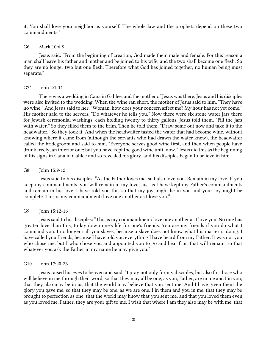it: You shall love your neighbor as yourself. The whole law and the prophets depend on these two commandments."

G6 Mark 10:6-9

Jesus said: "From the beginning of creation, God made them male and female. For this reason a man shall leave his father and mother and be joined to his wife, and the two shall become one flesh. So they are no longer two but one flesh. Therefore what God has joined together, no human being must separate."

#### G7\* John 2:1-11

There was a wedding in Cana in Galilee, and the mother of Jesus was there. Jesus and his disciples were also invited to the wedding. When the wine ran short, the mother of Jesus said to him, "They have no wine." And Jesus said to her, "Woman, how does your concern affect me? My hour has not yet come." His mother said to the servers, "Do whatever he tells you." Now there were six stone water jars there for Jewish ceremonial washings, each holding twenty to thirty gallons. Jesus told them, "Fill the jars with water." So they filled them to the brim. Then he told them, "Draw some out now and take it to the headwaiter." So they took it. And when the headwaiter tasted the water that had become wine, without knowing where it came from (although the servants who had drawn the water knew), the headwaiter called the bridegroom and said to him, "Everyone serves good wine first, and then when people have drunk freely, an inferior one; but you have kept the good wine until now." Jesus did this as the beginning of his signs in Cana in Galilee and so revealed his glory, and his disciples began to believe in him.

G8 John 15:9-12

Jesus said to his disciples: "As the Father loves me, so I also love you. Remain in my love. If you keep my commandments, you will remain in my love, just as I have kept my Father's commandments and remain in his love. I have told you this so that my joy might be in you and your joy might be complete. This is my commandment: love one another as I love you."

G9 John 15:12-16

Jesus said to his disciples: "This is my commandment: love one another as I love you. No one has greater love than this, to lay down one's life for one's friends. You are my friends if you do what I command you. I no longer call you slaves, because a slave does not know what his master is doing. I have called you friends, because I have told you everything I have heard from my Father. It was not you who chose me, but I who chose you and appointed you to go and bear fruit that will remain, so that whatever you ask the Father in my name he may give you."

G10 John 17:20-26

Jesus raised his eyes to heaven and said: "I pray not only for my disciples, but also for those who will believe in me through their word, so that they may all be one, as you, Father, are in me and I in you, that they also may be in us, that the world may believe that you sent me. And I have given them the glory you gave me, so that they may be one, as we are one, I in them and you in me, that they may be brought to perfection as one, that the world may know that you sent me, and that you loved them even as you loved me. Father, they are your gift to me. I wish that where I am they also may be with me, that